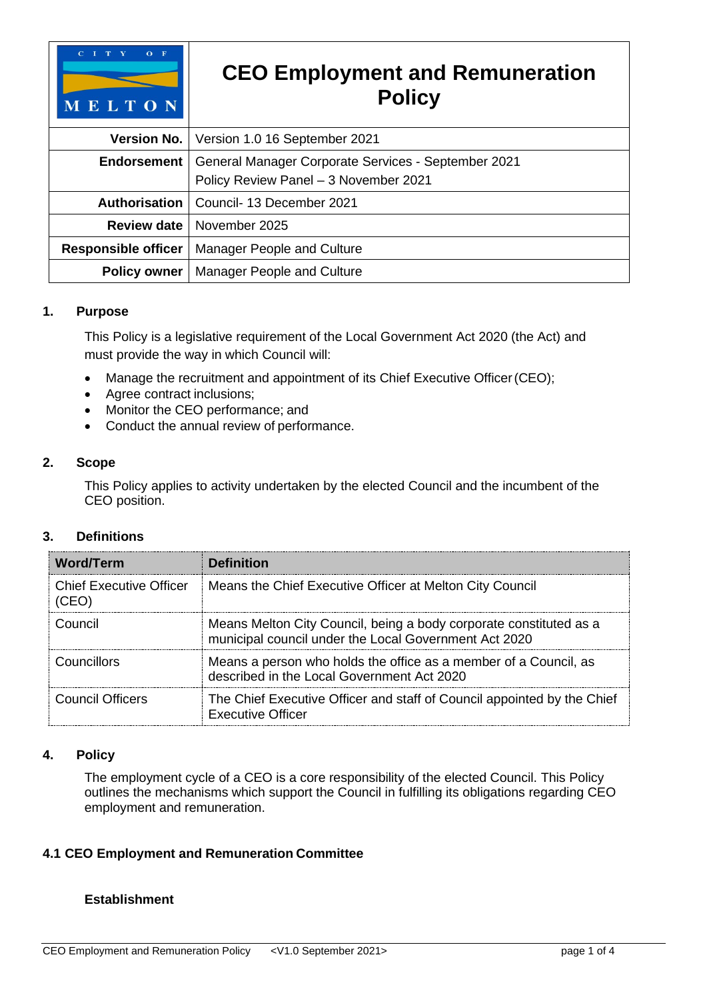

#### **1. Purpose**

This Policy is a legislative requirement of the Local Government Act 2020 (the Act) and must provide the way in which Council will:

- Manage the recruitment and appointment of its Chief Executive Officer (CEO);
- Agree contract inclusions;
- Monitor the CEO performance; and
- Conduct the annual review of performance.

#### **2. Scope**

This Policy applies to activity undertaken by the elected Council and the incumbent of the CEO position.

## **3. Definitions**

| <b>Word/Term</b>               | <b>Definition</b>                                                                                                           |
|--------------------------------|-----------------------------------------------------------------------------------------------------------------------------|
| <b>Chief Executive Officer</b> | Means the Chief Executive Officer at Melton City Council                                                                    |
| Council                        | Means Melton City Council, being a body corporate constituted as a<br>municipal council under the Local Government Act 2020 |
| Councillors                    | Means a person who holds the office as a member of a Council, as<br>described in the Local Government Act 2020              |
| Council Officers               | The Chief Executive Officer and staff of Council appointed by the Chief<br><b>Executive Officer</b>                         |

# **4. Policy**

The employment cycle of a CEO is a core responsibility of the elected Council. This Policy outlines the mechanisms which support the Council in fulfilling its obligations regarding CEO employment and remuneration.

## **4.1 CEO Employment and Remuneration Committee**

## **Establishment**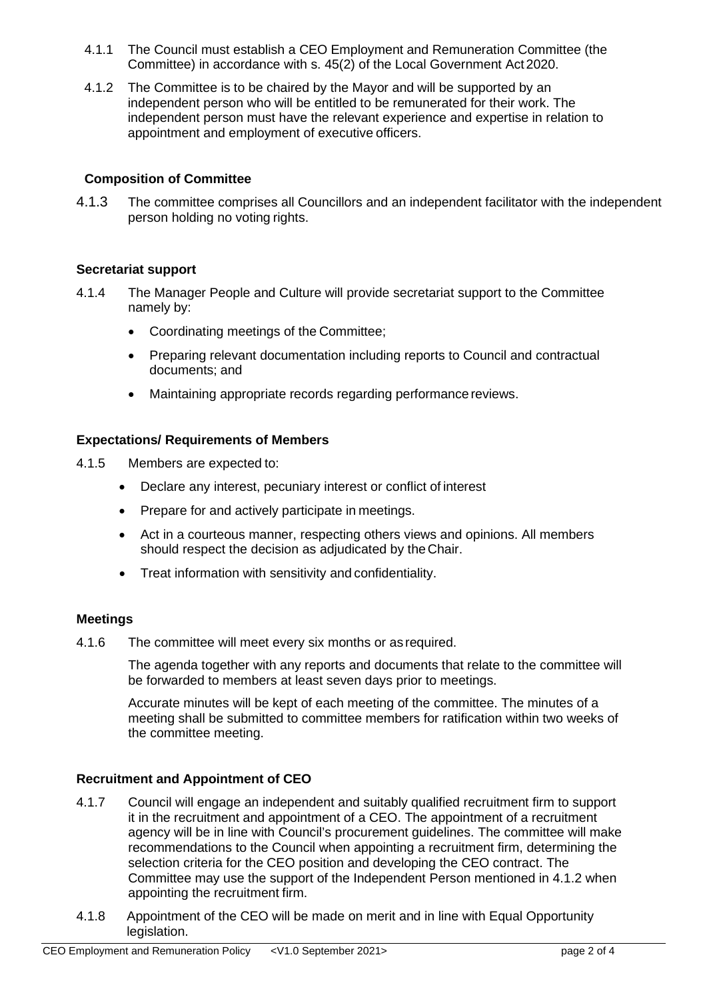- 4.1.1 The Council must establish a CEO Employment and Remuneration Committee (the Committee) in accordance with s. 45(2) of the Local Government Act 2020.
- 4.1.2 The Committee is to be chaired by the Mayor and will be supported by an independent person who will be entitled to be remunerated for their work. The independent person must have the relevant experience and expertise in relation to appointment and employment of executive officers.

## **Composition of Committee**

4.1.3 The committee comprises all Councillors and an independent facilitator with the independent person holding no voting rights.

## **Secretariat support**

- 4.1.4 The Manager People and Culture will provide secretariat support to the Committee namely by:
	- Coordinating meetings of the Committee;
	- Preparing relevant documentation including reports to Council and contractual documents; and
	- Maintaining appropriate records regarding performance reviews.

# **Expectations/ Requirements of Members**

- 4.1.5 Members are expected to:
	- Declare any interest, pecuniary interest or conflict of interest
	- Prepare for and actively participate in meetings.
	- Act in a courteous manner, respecting others views and opinions. All members should respect the decision as adjudicated by the Chair.
	- Treat information with sensitivity and confidentiality.

## **Meetings**

4.1.6 The committee will meet every six months or as required.

The agenda together with any reports and documents that relate to the committee will be forwarded to members at least seven days prior to meetings.

Accurate minutes will be kept of each meeting of the committee. The minutes of a meeting shall be submitted to committee members for ratification within two weeks of the committee meeting.

## **Recruitment and Appointment of CEO**

- 4.1.7 Council will engage an independent and suitably qualified recruitment firm to support it in the recruitment and appointment of a CEO. The appointment of a recruitment agency will be in line with Council's procurement guidelines. The committee will make recommendations to the Council when appointing a recruitment firm, determining the selection criteria for the CEO position and developing the CEO contract. The Committee may use the support of the Independent Person mentioned in 4.1.2 when appointing the recruitment firm.
- 4.1.8 Appointment of the CEO will be made on merit and in line with Equal Opportunity legislation.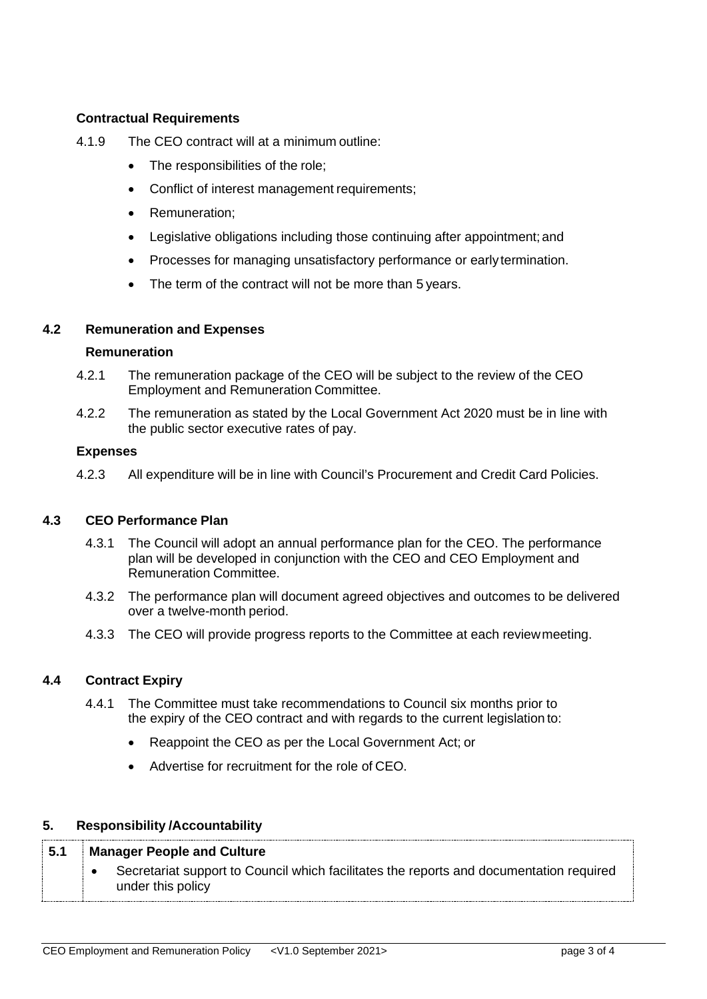# **Contractual Requirements**

- 4.1.9 The CEO contract will at a minimum outline:
	- The responsibilities of the role;
	- Conflict of interest management requirements;
	- Remuneration;
	- Legislative obligations including those continuing after appointment; and
	- Processes for managing unsatisfactory performance or early termination.
	- The term of the contract will not be more than 5 years.

#### **4.2 Remuneration and Expenses**

#### **Remuneration**

- 4.2.1 The remuneration package of the CEO will be subject to the review of the CEO Employment and Remuneration Committee.
- 4.2.2 The remuneration as stated by the Local Government Act 2020 must be in line with the public sector executive rates of pay.

#### **Expenses**

4.2.3 All expenditure will be in line with Council's Procurement and Credit Card Policies.

## **4.3 CEO Performance Plan**

- 4.3.1 The Council will adopt an annual performance plan for the CEO. The performance plan will be developed in conjunction with the CEO and CEO Employment and Remuneration Committee.
- 4.3.2 The performance plan will document agreed objectives and outcomes to be delivered over a twelve-month period.
- 4.3.3 The CEO will provide progress reports to the Committee at each reviewmeeting.

## **4.4 Contract Expiry**

- 4.4.1 The Committee must take recommendations to Council six months prior to the expiry of the CEO contract and with regards to the current legislation to:
	- Reappoint the CEO as per the Local Government Act; or
	- Advertise for recruitment for the role of CEO.

## **5. Responsibility /Accountability**

| 5.1 | <b>Manager People and Culture</b> |                                                                                                              |
|-----|-----------------------------------|--------------------------------------------------------------------------------------------------------------|
|     |                                   | Secretariat support to Council which facilitates the reports and documentation required<br>under this policy |